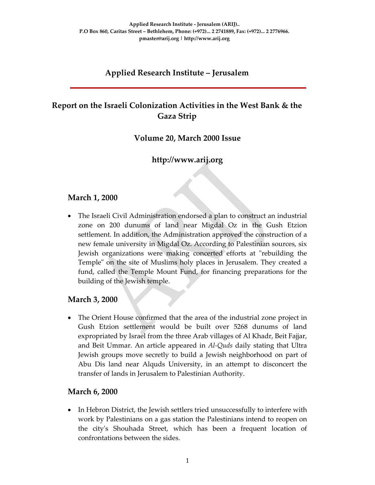# **Applied Research Institute – Jerusalem**

# **Report on the Israeli Colonization Activities in the West Bank & the Gaza Strip**

### **Volume 20, March 2000 Issue**

### **http://www.arij.org**

### **March 1, 2000**

• The Israeli Civil Administration endorsed a plan to construct an industrial zone on 200 dunums of land near Migdal Oz in the Gush Etzion settlement. In addition, the Administration approved the construction of a new female university in Migdal Oz. According to Palestinian sources, six Jewish organizations were making concerted efforts at "rebuilding the Temple" on the site of Muslims holy places in Jerusalem. They created a fund, called the Temple Mount Fund, for financing preparations for the building of the Jewish temple.

#### **March 3, 2000**

• The Orient House confirmed that the area of the industrial zone project in Gush Etzion settlement would be built over 5268 dunums of land expropriated by Israel from the three Arab villages of Al Khadr, Beit Fajjar, and Beit Ummar. An article appeared in *Al‐Quds* daily stating that Ultra Jewish groups move secretly to build a Jewish neighborhood on part of Abu Dis land near Alquds University, in an attempt to disconcert the transfer of lands in Jerusalem to Palestinian Authority.

#### **March 6, 2000**

• In Hebron District, the Jewish settlers tried unsuccessfully to interfere with work by Palestinians on a gas station the Palestinians intend to reopen on the cityʹs Shouhada Street, which has been a frequent location of confrontations between the sides.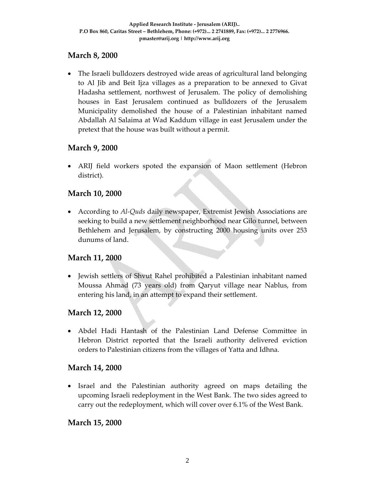# **March 8, 2000**

• The Israeli bulldozers destroyed wide areas of agricultural land belonging to Al Jib and Beit Ijza villages as a preparation to be annexed to Givat Hadasha settlement, northwest of Jerusalem. The policy of demolishing houses in East Jerusalem continued as bulldozers of the Jerusalem Municipality demolished the house of a Palestinian inhabitant named Abdallah Al Salaima at Wad Kaddum village in east Jerusalem under the pretext that the house was built without a permit.

### **March 9, 2000**

• ARIJ field workers spoted the expansion of Maon settlement (Hebron district).

### **March 10, 2000**

• According to *Al‐Quds* daily newspaper, Extremist Jewish Associations are seeking to build a new settlement neighborhood near Gilo tunnel, between Bethlehem and Jerusalem, by constructing 2000 housing units over 253 dunums of land.

### **March 11, 2000**

• Jewish settlers of Shvut Rahel prohibited a Palestinian inhabitant named Moussa Ahmad (73 years old) from Qaryut village near Nablus, from entering his land, in an attempt to expand their settlement.

### **March 12, 2000**

• Abdel Hadi Hantash of the Palestinian Land Defense Committee in Hebron District reported that the Israeli authority delivered eviction orders to Palestinian citizens from the villages of Yatta and Idhna.

#### **March 14, 2000**

• Israel and the Palestinian authority agreed on maps detailing the upcoming Israeli redeployment in the West Bank. The two sides agreed to carry out the redeployment, which will cover over 6.1% of the West Bank.

#### **March 15, 2000**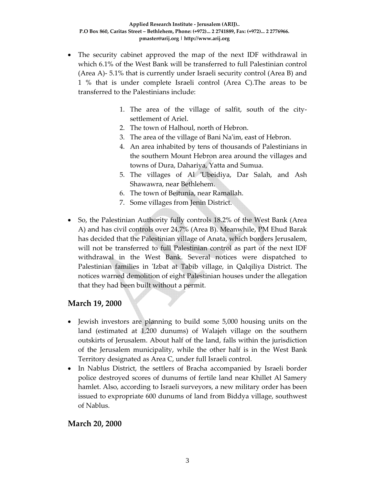- The security cabinet approved the map of the next IDF withdrawal in which 6.1% of the West Bank will be transferred to full Palestinian control (Area A)‐ 5.1% that is currently under Israeli security control (Area B) and 1 % that is under complete Israeli control (Area C).The areas to be transferred to the Palestinians include:
	- 1. The area of the village of salfit, south of the city‐ settlement of Ariel.
	- 2. The town of Halhoul, north of Hebron.
	- 3. The area of the village of Bani Naʹim, east of Hebron.
	- 4. An area inhabited by tens of thousands of Palestinians in the southern Mount Hebron area around the villages and towns of Dura, Dahariya, Yatta and Sumua.
	- 5. The villages of Al 'Ubeidiya, Dar Salah, and Ash Shawawra, near Bethlehem.
	- 6. The town of Beitunia, near Ramallah.
	- 7. Some villages from Jenin District.
- So, the Palestinian Authority fully controls 18.2% of the West Bank (Area A) and has civil controls over 24,7% (Area B). Meanwhile, PM Ehud Barak has decided that the Palestinian village of Anata, which borders Jerusalem, will not be transferred to full Palestinian control as part of the next IDF withdrawal in the West Bank. Several notices were dispatched to Palestinian families in 'Izbat at Tabib village, in Qalqiliya District. The notices warned demolition of eight Palestinian houses under the allegation that they had been built without a permit.

#### **March 19, 2000**

- Jewish investors are planning to build some 5,000 housing units on the land (estimated at 1,200 dunums) of Walajeh village on the southern outskirts of Jerusalem. About half of the land, falls within the jurisdiction of the Jerusalem municipality, while the other half is in the West Bank Territory designated as Area C, under full Israeli control.
- In Nablus District, the settlers of Bracha accompanied by Israeli border police destroyed scores of dunums of fertile land near Khillet Al Samery hamlet. Also, according to Israeli surveyors, a new military order has been issued to expropriate 600 dunums of land from Biddya village, southwest of Nablus.

#### **March 20, 2000**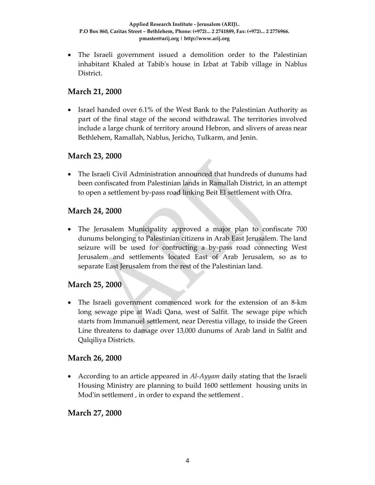• The Israeli government issued a demolition order to the Palestinian inhabitant Khaled at Tabibʹs house in Izbat at Tabib village in Nablus District.

### **March 21, 2000**

• Israel handed over 6.1% of the West Bank to the Palestinian Authority as part of the final stage of the second withdrawal. The territories involved include a large chunk of territory around Hebron, and slivers of areas near Bethlehem, Ramallah, Nablus, Jericho, Tulkarm, and Jenin.

# **March 23, 2000**

• The Israeli Civil Administration announced that hundreds of dunums had been confiscated from Palestinian lands in Ramallah District, in an attempt to open a settlement by‐pass road linking Beit El settlement with Ofra.

# **March 24, 2000**

• The Jerusalem Municipality approved a major plan to confiscate 700 dunums belonging to Palestinian citizens in Arab East Jerusalem. The land seizure will be used for contructing a by‐pass road connecting West Jerusalem and settlements located East of Arab Jerusalem, so as to separate East Jerusalem from the rest of the Palestinian land.

### **March 25, 2000**

• The Israeli government commenced work for the extension of an 8-km long sewage pipe at Wadi Qana, west of Salfit. The sewage pipe which starts from Immanuel settlement, near Derestia village, to inside the Green Line threatens to damage over 13,000 dunums of Arab land in Salfit and Qalqiliya Districts.

### **March 26, 2000**

• According to an article appeared in *Al‐Ayyam* daily stating that the Israeli Housing Ministry are planning to build 1600 settlement housing units in Mod'in settlement, in order to expand the settlement.

### **March 27, 2000**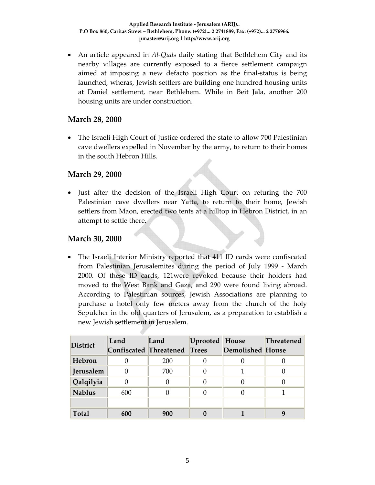• An article appeared in *Al‐Quds* daily stating that Bethlehem City and its nearby villages are currently exposed to a fierce settlement campaign aimed at imposing a new defacto position as the final‐status is being launched, wheras, Jewish settlers are building one hundred housing units at Daniel settlement, near Bethlehem. While in Beit Jala, another 200 housing units are under construction.

#### **March 28, 2000**

• The Israeli High Court of Justice ordered the state to allow 700 Palestinian cave dwellers expelled in November by the army, to return to their homes in the south Hebron Hills.

#### **March 29, 2000**

• Just after the decision of the Israeli High Court on returing the 700 Palestinian cave dwellers near Yatta, to return to their home, Jewish settlers from Maon, erected two tents at a hilltop in Hebron District, in an attempt to settle there.

#### **March 30, 2000**

• The Israeli Interior Ministry reported that 411 ID cards were confiscated from Palestinian Jerusalemites during the period of July 1999 ‐ March 2000. Of these ID cards, 121were revoked because their holders had moved to the West Bank and Gaza, and 290 were found living abroad. According to Palestinian sources, Jewish Associations are planning to purchase a hotel only few meters away from the church of the holy Sepulcher in the old quarters of Jerusalem, as a preparation to establish a new Jewish settlement in Jerusalem.

| <b>District</b> | Land                          | Land | Uprooted House |                         | Threatened |
|-----------------|-------------------------------|------|----------------|-------------------------|------------|
|                 | <b>Confiscated Threatened</b> |      | <b>Trees</b>   | <b>Demolished House</b> |            |
| Hebron          |                               | 200  |                |                         |            |
| Jerusalem       |                               | 700  |                |                         |            |
| Qalqilyia       |                               |      |                |                         |            |
| <b>Nablus</b>   | 600                           |      |                |                         |            |
|                 |                               |      |                |                         |            |
| <b>Total</b>    | 600                           | 900  |                |                         | g          |